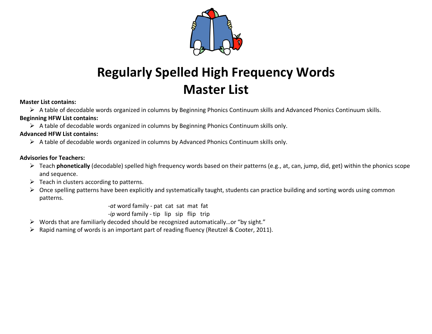

# **Regularly Spelled High Frequency Words Master List**

#### **Master List contains:**

Ø A table of decodable words organized in columns by Beginning Phonics Continuum skills and Advanced Phonics Continuum skills. **Beginning HFW List contains:**

 $\triangleright$  A table of decodable words organized in columns by Beginning Phonics Continuum skills only.

### **Advanced HFW List contains:**

 $\triangleright$  A table of decodable words organized in columns by Advanced Phonics Continuum skills only.

### **Advisories for Teachers:**

- Ø Teach **phonetically** (decodable) spelled high frequency words based on their patterns (e.g., at, can, jump, did, get) within the phonics scope and sequence.
- $\triangleright$  Teach in clusters according to patterns.
- $\triangleright$  Once spelling patterns have been explicitly and systematically taught, students can practice building and sorting words using common patterns.

*-at* word family - pat cat sat mat fat

*-ip* word family - tip lip sip flip trip

- $\triangleright$  Words that are familiarly decoded should be recognized automatically...or "by sight."
- $\triangleright$  Rapid naming of words is an important part of reading fluency (Reutzel & Cooter, 2011).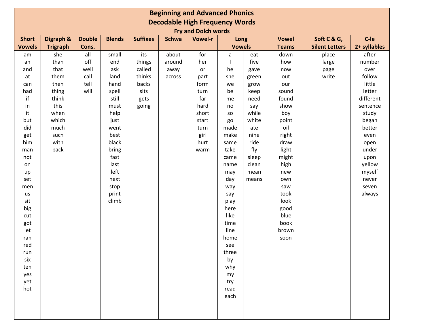| <b>Beginning and Advanced Phonics</b> |                 |               |               |                 |              |                |               |       |              |                       |              |
|---------------------------------------|-----------------|---------------|---------------|-----------------|--------------|----------------|---------------|-------|--------------|-----------------------|--------------|
| <b>Decodable High Frequency Words</b> |                 |               |               |                 |              |                |               |       |              |                       |              |
| <b>Fry and Dolch words</b>            |                 |               |               |                 |              |                |               |       |              |                       |              |
| <b>Short</b>                          | Digraph &       | <b>Double</b> | <b>Blends</b> | <b>Suffixes</b> | <b>Schwa</b> | <b>Vowel-r</b> | Long          |       | <b>Vowel</b> | Soft C & G,           | C-le         |
| <b>Vowels</b>                         | <b>Trigraph</b> | Cons.         |               |                 |              |                | <b>Vowels</b> |       | <b>Teams</b> | <b>Silent Letters</b> | 2+ syllables |
| am                                    | she             | all           | small         | its             | about        | for            | a             | eat   | down         | place                 | after        |
| an                                    | than            | off           | end           | things          | around       | her            |               | five  | how          | large                 | number       |
| and                                   | that            | well          | ask           | called          | away         | or             | he            | gave  | now          | page                  | over         |
| at                                    | them            | call          | land          | thinks          | across       | part           | she           | green | out          | write                 | follow       |
| can                                   | then            | tell          | hand          | backs           |              | form           | we            | grow  | our          |                       | little       |
| had                                   | thing           | will          | spell         | sits            |              | turn           | be            | keep  | sound        |                       | letter       |
| if                                    | think           |               | still         | gets            |              | far            | me            | need  | found        |                       | different    |
| in                                    | this            |               | must          | going           |              | hard           | no            | say   | show         |                       | sentence     |
| it                                    | when            |               | help          |                 |              | short          | <b>SO</b>     | while | boy          |                       | study        |
| but                                   | which           |               | just          |                 |              | start          | go            | white | point        |                       | began        |
| did                                   | much            |               | went          |                 |              | turn           | made          | ate   | oil          |                       | better       |
| get                                   | such            |               | best          |                 |              | girl           | make          | nine  | right        |                       | even         |
| him                                   | with            |               | black         |                 |              | hurt           | same          | ride  | draw         |                       | open         |
| man                                   | back            |               | bring         |                 |              | warm           | take          | fly   | light        |                       | under        |
| not                                   |                 |               | fast          |                 |              |                | came          | sleep | might        |                       | upon         |
| on                                    |                 |               | last          |                 |              |                | name          | clean | high         |                       | yellow       |
| up                                    |                 |               | left          |                 |              |                | may           | mean  | new          |                       | myself       |
| set                                   |                 |               | next          |                 |              |                | day           | means | own          |                       | never        |
| men                                   |                 |               | stop          |                 |              |                | way           |       | saw          |                       | seven        |
| us                                    |                 |               | print         |                 |              |                | say           |       | took         |                       | always       |
| sit                                   |                 |               | climb         |                 |              |                | play          |       | look         |                       |              |
| big                                   |                 |               |               |                 |              |                | here          |       | good         |                       |              |
| cut                                   |                 |               |               |                 |              |                | like          |       | blue         |                       |              |
| got                                   |                 |               |               |                 |              |                | time          |       | book         |                       |              |
| let                                   |                 |               |               |                 |              |                | line          |       | brown        |                       |              |
| ran                                   |                 |               |               |                 |              |                | home          |       | soon         |                       |              |
| red                                   |                 |               |               |                 |              |                | see           |       |              |                       |              |
| run                                   |                 |               |               |                 |              |                | three         |       |              |                       |              |
| six                                   |                 |               |               |                 |              |                | by            |       |              |                       |              |
| ten                                   |                 |               |               |                 |              |                | why           |       |              |                       |              |
| yes                                   |                 |               |               |                 |              |                | my            |       |              |                       |              |
| yet                                   |                 |               |               |                 |              |                | try           |       |              |                       |              |
| hot                                   |                 |               |               |                 |              |                | read          |       |              |                       |              |
|                                       |                 |               |               |                 |              |                | each          |       |              |                       |              |
|                                       |                 |               |               |                 |              |                |               |       |              |                       |              |
|                                       |                 |               |               |                 |              |                |               |       |              |                       |              |
|                                       |                 |               |               |                 |              |                |               |       |              |                       |              |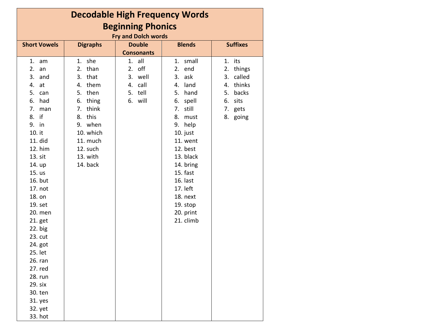| <b>Decodable High Frequency Words</b> |                 |                   |               |                 |  |  |  |  |  |
|---------------------------------------|-----------------|-------------------|---------------|-----------------|--|--|--|--|--|
| <b>Beginning Phonics</b>              |                 |                   |               |                 |  |  |  |  |  |
| <b>Fry and Dolch words</b>            |                 |                   |               |                 |  |  |  |  |  |
| <b>Short Vowels</b>                   | <b>Digraphs</b> | <b>Double</b>     | <b>Blends</b> | <b>Suffixes</b> |  |  |  |  |  |
|                                       |                 | <b>Consonants</b> |               |                 |  |  |  |  |  |
| 1.<br>am                              | she<br>1.       | all<br>1.         | small<br>1.   | 1. its          |  |  |  |  |  |
| 2.<br>an                              | than<br>2.      | off<br>2.         | 2.<br>end     | 2. things       |  |  |  |  |  |
| 3.<br>and                             | 3. that         | 3. well           | 3. ask        | 3.<br>called    |  |  |  |  |  |
| 4.<br>at                              | 4. them         | 4. call           | 4.<br>land    | 4. thinks       |  |  |  |  |  |
| 5.<br>can                             | 5. then         | 5. tell           | 5. hand       | backs<br>5.     |  |  |  |  |  |
| 6.<br>had                             | thing<br>6.     | 6. will           | 6.<br>spell   | sits<br>6.      |  |  |  |  |  |
| 7.<br>man                             | think<br>7.     |                   | still<br>7.   | 7. gets         |  |  |  |  |  |
| if<br>8.                              | 8. this         |                   | 8.<br>must    | 8. going        |  |  |  |  |  |
| 9. in                                 | 9. when         |                   | 9. help       |                 |  |  |  |  |  |
| 10. it                                | 10. which       |                   | 10. just      |                 |  |  |  |  |  |
| 11. did                               | 11. much        |                   | 11. went      |                 |  |  |  |  |  |
| 12. him                               | 12. such        |                   | 12. best      |                 |  |  |  |  |  |
| 13. sit                               | 13. with        |                   | 13. black     |                 |  |  |  |  |  |
| 14. up                                | 14. back        |                   | 14. bring     |                 |  |  |  |  |  |
| 15. us                                |                 |                   | 15. fast      |                 |  |  |  |  |  |
| 16. but                               |                 |                   | 16. last      |                 |  |  |  |  |  |
| 17. not                               |                 |                   | 17. left      |                 |  |  |  |  |  |
| 18. on                                |                 |                   | 18. next      |                 |  |  |  |  |  |
| 19. set                               |                 |                   | 19. stop      |                 |  |  |  |  |  |
| 20. men                               |                 |                   | 20. print     |                 |  |  |  |  |  |
| 21. get                               |                 |                   | 21. climb     |                 |  |  |  |  |  |
| $22.$ big                             |                 |                   |               |                 |  |  |  |  |  |
| 23. cut                               |                 |                   |               |                 |  |  |  |  |  |
| 24. got                               |                 |                   |               |                 |  |  |  |  |  |
| 25. let                               |                 |                   |               |                 |  |  |  |  |  |
| 26. ran                               |                 |                   |               |                 |  |  |  |  |  |
| 27. red                               |                 |                   |               |                 |  |  |  |  |  |
| 28. run                               |                 |                   |               |                 |  |  |  |  |  |
| 29. six                               |                 |                   |               |                 |  |  |  |  |  |
| 30. ten                               |                 |                   |               |                 |  |  |  |  |  |
| 31. yes                               |                 |                   |               |                 |  |  |  |  |  |
| 32. yet                               |                 |                   |               |                 |  |  |  |  |  |
| 33. hot                               |                 |                   |               |                 |  |  |  |  |  |